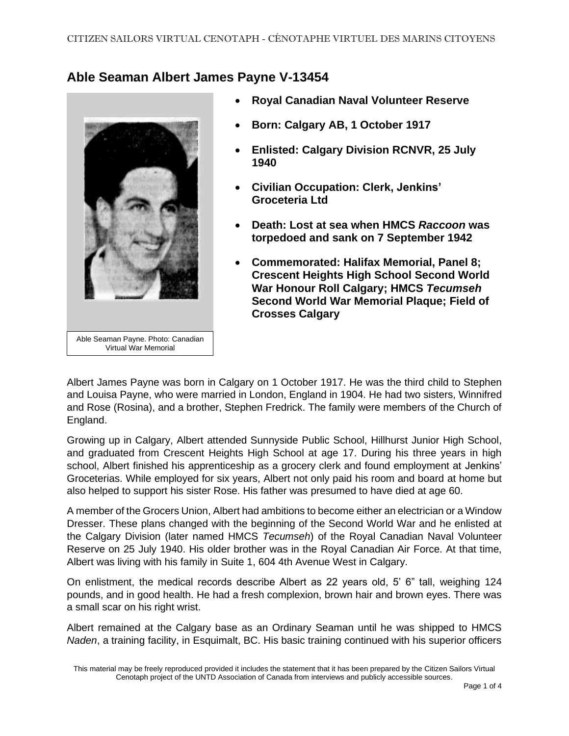## **Able Seaman Albert James Payne V-13454**



- **Royal Canadian Naval Volunteer Reserve**
- **Born: Calgary AB, 1 October 1917**
- **Enlisted: Calgary Division RCNVR, 25 July 1940**
- **Civilian Occupation: Clerk, Jenkins' Groceteria Ltd**
- **Death: Lost at sea when HMCS** *Raccoon* **was torpedoed and sank on 7 September 1942**
- **Commemorated: Halifax Memorial, Panel 8; Crescent Heights High School Second World War Honour Roll Calgary; HMCS** *Tecumseh* **Second World War Memorial Plaque; Field of Crosses Calgary**

Albert James Payne was born in Calgary on 1 October 1917. He was the third child to Stephen and Louisa Payne, who were married in London, England in 1904. He had two sisters, Winnifred and Rose (Rosina), and a brother, Stephen Fredrick. The family were members of the Church of England.

Growing up in Calgary, Albert attended Sunnyside Public School, Hillhurst Junior High School, and graduated from Crescent Heights High School at age 17. During his three years in high school, Albert finished his apprenticeship as a grocery clerk and found employment at Jenkins' Groceterias. While employed for six years, Albert not only paid his room and board at home but also helped to support his sister Rose. His father was presumed to have died at age 60.

A member of the Grocers Union, Albert had ambitions to become either an electrician or a Window Dresser. These plans changed with the beginning of the Second World War and he enlisted at the Calgary Division (later named HMCS *Tecumseh*) of the Royal Canadian Naval Volunteer Reserve on 25 July 1940. His older brother was in the Royal Canadian Air Force. At that time, Albert was living with his family in Suite 1, 604 4th Avenue West in Calgary.

On enlistment, the medical records describe Albert as 22 years old, 5' 6" tall, weighing 124 pounds, and in good health. He had a fresh complexion, brown hair and brown eyes. There was a small scar on his right wrist.

Albert remained at the Calgary base as an Ordinary Seaman until he was shipped to HMCS *Naden*, a training facility, in Esquimalt, BC. His basic training continued with his superior officers

This material may be freely reproduced provided it includes the statement that it has been prepared by the Citizen Sailors Virtual Cenotaph project of the UNTD Association of Canada from interviews and publicly accessible sources.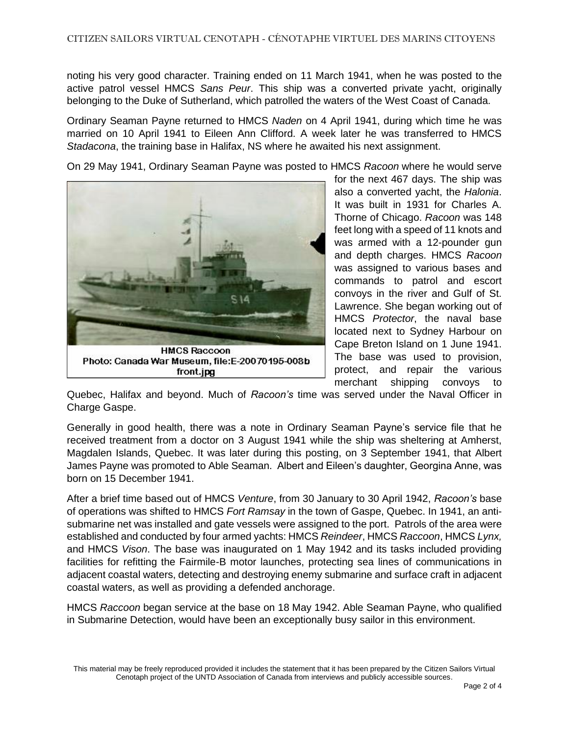noting his very good character. Training ended on 11 March 1941, when he was posted to the active patrol vessel HMCS *Sans Peur*. This ship was a converted private yacht, originally belonging to the Duke of Sutherland, which patrolled the waters of the West Coast of Canada.

Ordinary Seaman Payne returned to HMCS *Naden* on 4 April 1941, during which time he was married on 10 April 1941 to Eileen Ann Clifford. A week later he was transferred to HMCS *Stadacona*, the training base in Halifax, NS where he awaited his next assignment.

On 29 May 1941, Ordinary Seaman Payne was posted to HMCS *Racoon* where he would serve



for the next 467 days. The ship was also a converted yacht, the *Halonia*. It was built in 1931 for Charles A. Thorne of Chicago. *Racoon* was 148 feet long with a speed of 11 knots and was armed with a 12-pounder gun and depth charges. HMCS *Racoon* was assigned to various bases and commands to patrol and escort convoys in the river and Gulf of St. Lawrence. She began working out of HMCS *Protector*, the naval base located next to Sydney Harbour on Cape Breton Island on 1 June 1941. The base was used to provision, protect, and repair the various merchant shipping convoys to

Quebec, Halifax and beyond. Much of *Racoon's* time was served under the Naval Officer in Charge Gaspe.

Generally in good health, there was a note in Ordinary Seaman Payne's service file that he received treatment from a doctor on 3 August 1941 while the ship was sheltering at Amherst, Magdalen Islands, Quebec. It was later during this posting, on 3 September 1941, that Albert James Payne was promoted to Able Seaman. Albert and Eileen's daughter, Georgina Anne, was born on 15 December 1941.

After a brief time based out of HMCS *Venture*, from 30 January to 30 April 1942, *Racoon's* base of operations was shifted to HMCS *Fort Ramsay* in the town of Gaspe, Quebec. In 1941, an antisubmarine net was installed and gate vessels were assigned to the port. Patrols of the area were established and conducted by four armed yachts: HMCS *Reindeer*, HMCS *Raccoon*, HMCS *Lynx,* and HMCS *Vison*. The base was inaugurated on 1 May 1942 and its tasks included providing facilities for refitting the Fairmile-B motor launches, protecting sea lines of communications in adjacent coastal waters, detecting and destroying enemy submarine and surface craft in adjacent coastal waters, as well as providing a defended anchorage.

HMCS *Raccoon* began service at the base on 18 May 1942. Able Seaman Payne, who qualified in Submarine Detection, would have been an exceptionally busy sailor in this environment.

This material may be freely reproduced provided it includes the statement that it has been prepared by the Citizen Sailors Virtual Cenotaph project of the UNTD Association of Canada from interviews and publicly accessible sources.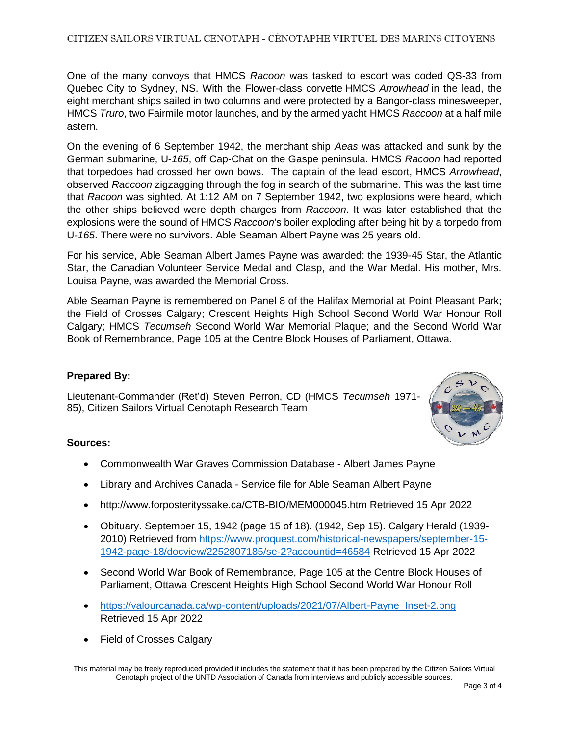One of the many convoys that HMCS *Racoon* was tasked to escort was coded QS-33 from Quebec City to Sydney, NS. With the Flower-class corvette HMCS *Arrowhead* in the lead, the eight merchant ships sailed in two columns and were protected by a Bangor-class minesweeper, HMCS *Truro*, two Fairmile motor launches, and by the armed yacht HMCS *Raccoon* at a half mile astern.

On the evening of 6 September 1942, the merchant ship *Aeas* was attacked and sunk by the German submarine, U-*165*, off Cap-Chat on the Gaspe peninsula. HMCS *Racoon* had reported that torpedoes had crossed her own bows. The captain of the lead escort, HMCS *Arrowhead*, observed *Raccoon* zigzagging through the fog in search of the submarine. This was the last time that *Racoon* was sighted. At 1:12 AM on 7 September 1942, two explosions were heard, which the other ships believed were depth charges from *Raccoon*. It was later established that the explosions were the sound of HMCS *Raccoon*'s boiler exploding after being hit by a torpedo from U-*165*. There were no survivors. Able Seaman Albert Payne was 25 years old.

For his service, Able Seaman Albert James Payne was awarded: the 1939-45 Star, the Atlantic Star, the Canadian Volunteer Service Medal and Clasp, and the War Medal. His mother, Mrs. Louisa Payne, was awarded the Memorial Cross.

Able Seaman Payne is remembered on Panel 8 of the Halifax Memorial at Point Pleasant Park; the Field of Crosses Calgary; Crescent Heights High School Second World War Honour Roll Calgary; HMCS *Tecumseh* Second World War Memorial Plaque; and the Second World War Book of Remembrance, Page 105 at the Centre Block Houses of Parliament, Ottawa.

## **Prepared By:**

Lieutenant-Commander (Ret'd) Steven Perron, CD (HMCS *Tecumseh* 1971- 85), Citizen Sailors Virtual Cenotaph Research Team



## **Sources:**

- Commonwealth War Graves Commission Database Albert James Payne
- Library and Archives Canada Service file for Able Seaman Albert Payne
- http://www.forposterityssake.ca/CTB-BIO/MEM000045.htm Retrieved 15 Apr 2022
- Obituary. September 15, 1942 (page 15 of 18). (1942, Sep 15). Calgary Herald (1939- 2010) Retrieved from [https://www.proquest.com/historical-newspapers/september-15-](https://www.proquest.com/historical-newspapers/september-15-1942-page-18/docview/2252807185/se-2?accountid=46584) [1942-page-18/docview/2252807185/se-2?accountid=46584](https://www.proquest.com/historical-newspapers/september-15-1942-page-18/docview/2252807185/se-2?accountid=46584) Retrieved 15 Apr 2022
- Second World War Book of Remembrance, Page 105 at the Centre Block Houses of Parliament, Ottawa Crescent Heights High School Second World War Honour Roll
- https://valourcanada.ca/wp-content/uploads/2021/07/Albert-Payne Inset-2.png Retrieved 15 Apr 2022
- Field of Crosses Calgary

This material may be freely reproduced provided it includes the statement that it has been prepared by the Citizen Sailors Virtual Cenotaph project of the UNTD Association of Canada from interviews and publicly accessible sources.